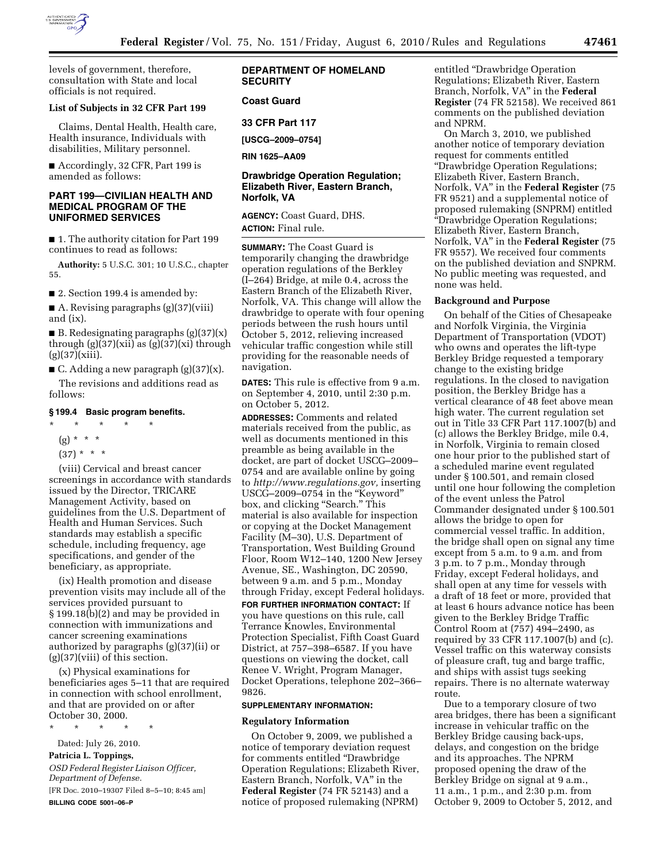

levels of government, therefore, consultation with State and local officials is not required.

#### **List of Subjects in 32 CFR Part 199**

Claims, Dental Health, Health care, Health insurance, Individuals with disabilities, Military personnel.

■ Accordingly, 32 CFR, Part 199 is amended as follows:

# **PART 199—CIVILIAN HEALTH AND MEDICAL PROGRAM OF THE UNIFORMED SERVICES**

■ 1. The authority citation for Part 199 continues to read as follows:

**Authority:** 5 U.S.C. 301; 10 U.S.C., chapter 55.

■ 2. Section 199.4 is amended by:

A. Revising paragraphs  $(g)(37)(viii)$ and (ix).

■ B. Redesignating paragraphs  $(g)(37)(x)$ through (g)(37)(xii) as (g)(37)(xi) through  $(g)(37)(xiii)$ .

■ C. Adding a new paragraph  $(g)(37)(x)$ .

The revisions and additions read as follows:

# **§ 199.4 Basic program benefits.**

# \* \* \* \* \*

- $(g) * * * *$
- $(37) * * * *$

(viii) Cervical and breast cancer screenings in accordance with standards issued by the Director, TRICARE Management Activity, based on guidelines from the U.S. Department of Health and Human Services. Such standards may establish a specific schedule, including frequency, age specifications, and gender of the beneficiary, as appropriate.

(ix) Health promotion and disease prevention visits may include all of the services provided pursuant to § 199.18(b)(2) and may be provided in connection with immunizations and cancer screening examinations authorized by paragraphs (g)(37)(ii) or  $(g)(37)(viii)$  of this section.

(x) Physical examinations for beneficiaries ages 5–11 that are required in connection with school enrollment, and that are provided on or after October 30, 2000.

\* \* \* \* \*

Dated: July 26, 2010.

# **Patricia L. Toppings,**

*OSD Federal Register Liaison Officer, Department of Defense.*  [FR Doc. 2010–19307 Filed 8–5–10; 8:45 am] **BILLING CODE 5001–06–P** 

# **DEPARTMENT OF HOMELAND SECURITY**

## **Coast Guard**

**33 CFR Part 117** 

**[USCG–2009–0754]** 

**RIN 1625–AA09** 

# **Drawbridge Operation Regulation; Elizabeth River, Eastern Branch, Norfolk, VA**

**AGENCY:** Coast Guard, DHS. **ACTION:** Final rule.

**SUMMARY:** The Coast Guard is temporarily changing the drawbridge operation regulations of the Berkley (I–264) Bridge, at mile 0.4, across the Eastern Branch of the Elizabeth River, Norfolk, VA. This change will allow the drawbridge to operate with four opening periods between the rush hours until October 5, 2012, relieving increased vehicular traffic congestion while still providing for the reasonable needs of navigation.

**DATES:** This rule is effective from 9 a.m. on September 4, 2010, until 2:30 p.m. on October 5, 2012.

**ADDRESSES:** Comments and related materials received from the public, as well as documents mentioned in this preamble as being available in the docket, are part of docket USCG–2009– 0754 and are available online by going to *[http://www.regulations.gov,](http://www.regulations.gov)* inserting USCG–2009–0754 in the ''Keyword'' box, and clicking "Search." This material is also available for inspection or copying at the Docket Management Facility (M–30), U.S. Department of Transportation, West Building Ground Floor, Room W12–140, 1200 New Jersey Avenue, SE., Washington, DC 20590, between 9 a.m. and 5 p.m., Monday through Friday, except Federal holidays.

**FOR FURTHER INFORMATION CONTACT:** If you have questions on this rule, call Terrance Knowles, Environmental Protection Specialist, Fifth Coast Guard District, at 757–398–6587. If you have questions on viewing the docket, call Renee V. Wright, Program Manager, Docket Operations, telephone 202–366– 9826.

#### **SUPPLEMENTARY INFORMATION:**

#### **Regulatory Information**

On October 9, 2009, we published a notice of temporary deviation request for comments entitled ''Drawbridge Operation Regulations; Elizabeth River, Eastern Branch, Norfolk, VA'' in the **Federal Register** (74 FR 52143) and a notice of proposed rulemaking (NPRM)

entitled ''Drawbridge Operation Regulations; Elizabeth River, Eastern Branch, Norfolk, VA'' in the **Federal Register** (74 FR 52158). We received 861 comments on the published deviation and NPRM.

On March 3, 2010, we published another notice of temporary deviation request for comments entitled ''Drawbridge Operation Regulations; Elizabeth River, Eastern Branch, Norfolk, VA'' in the **Federal Register** (75 FR 9521) and a supplemental notice of proposed rulemaking (SNPRM) entitled ''Drawbridge Operation Regulations; Elizabeth River, Eastern Branch, Norfolk, VA'' in the **Federal Register** (75 FR 9557). We received four comments on the published deviation and SNPRM. No public meeting was requested, and none was held.

#### **Background and Purpose**

On behalf of the Cities of Chesapeake and Norfolk Virginia, the Virginia Department of Transportation (VDOT) who owns and operates the lift-type Berkley Bridge requested a temporary change to the existing bridge regulations. In the closed to navigation position, the Berkley Bridge has a vertical clearance of 48 feet above mean high water. The current regulation set out in Title 33 CFR Part 117.1007(b) and (c) allows the Berkley Bridge, mile 0.4, in Norfolk, Virginia to remain closed one hour prior to the published start of a scheduled marine event regulated under § 100.501, and remain closed until one hour following the completion of the event unless the Patrol Commander designated under § 100.501 allows the bridge to open for commercial vessel traffic. In addition, the bridge shall open on signal any time except from 5 a.m. to 9 a.m. and from 3 p.m. to 7 p.m., Monday through Friday, except Federal holidays, and shall open at any time for vessels with a draft of 18 feet or more, provided that at least 6 hours advance notice has been given to the Berkley Bridge Traffic Control Room at (757) 494–2490, as required by 33 CFR 117.1007(b) and (c). Vessel traffic on this waterway consists of pleasure craft, tug and barge traffic, and ships with assist tugs seeking repairs. There is no alternate waterway route.

Due to a temporary closure of two area bridges, there has been a significant increase in vehicular traffic on the Berkley Bridge causing back-ups, delays, and congestion on the bridge and its approaches. The NPRM proposed opening the draw of the Berkley Bridge on signal at 9 a.m., 11 a.m., 1 p.m., and 2:30 p.m. from October 9, 2009 to October 5, 2012, and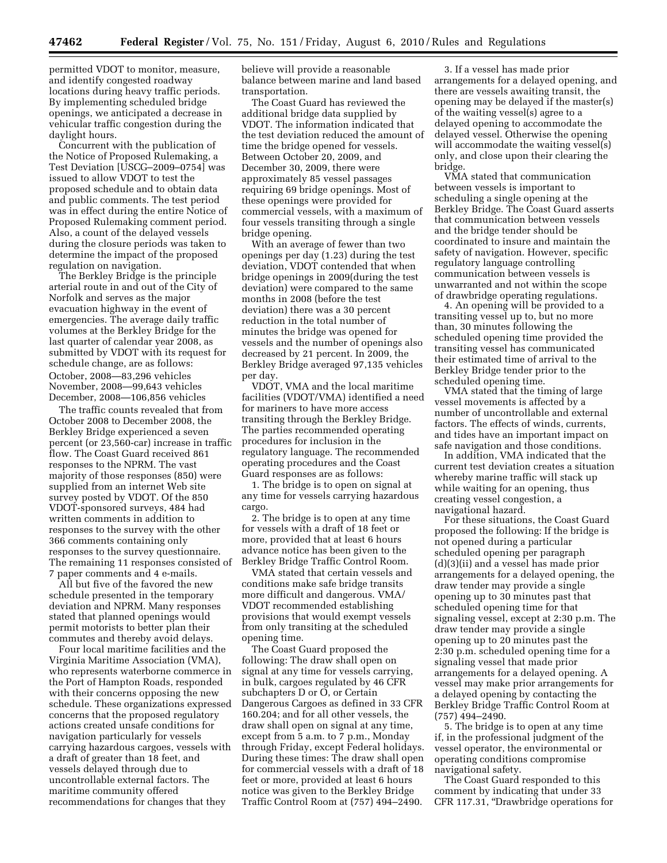permitted VDOT to monitor, measure, and identify congested roadway locations during heavy traffic periods. By implementing scheduled bridge openings, we anticipated a decrease in vehicular traffic congestion during the daylight hours.

Concurrent with the publication of the Notice of Proposed Rulemaking, a Test Deviation [USCG–2009–0754] was issued to allow VDOT to test the proposed schedule and to obtain data and public comments. The test period was in effect during the entire Notice of Proposed Rulemaking comment period. Also, a count of the delayed vessels during the closure periods was taken to determine the impact of the proposed regulation on navigation.

The Berkley Bridge is the principle arterial route in and out of the City of Norfolk and serves as the major evacuation highway in the event of emergencies. The average daily traffic volumes at the Berkley Bridge for the last quarter of calendar year 2008, as submitted by VDOT with its request for schedule change, are as follows: October, 2008—83,296 vehicles November, 2008—99,643 vehicles December, 2008—106,856 vehicles

The traffic counts revealed that from October 2008 to December 2008, the Berkley Bridge experienced a seven percent (or 23,560-car) increase in traffic flow. The Coast Guard received 861 responses to the NPRM. The vast majority of those responses (850) were supplied from an internet Web site survey posted by VDOT. Of the 850 VDOT-sponsored surveys, 484 had written comments in addition to responses to the survey with the other 366 comments containing only responses to the survey questionnaire. The remaining 11 responses consisted of 7 paper comments and 4 e-mails.

All but five of the favored the new schedule presented in the temporary deviation and NPRM. Many responses stated that planned openings would permit motorists to better plan their commutes and thereby avoid delays.

Four local maritime facilities and the Virginia Maritime Association (VMA), who represents waterborne commerce in the Port of Hampton Roads, responded with their concerns opposing the new schedule. These organizations expressed concerns that the proposed regulatory actions created unsafe conditions for navigation particularly for vessels carrying hazardous cargoes, vessels with a draft of greater than 18 feet, and vessels delayed through due to uncontrollable external factors. The maritime community offered recommendations for changes that they

believe will provide a reasonable balance between marine and land based transportation.

The Coast Guard has reviewed the additional bridge data supplied by VDOT. The information indicated that the test deviation reduced the amount of time the bridge opened for vessels. Between October 20, 2009, and December 30, 2009, there were approximately 85 vessel passages requiring 69 bridge openings. Most of these openings were provided for commercial vessels, with a maximum of four vessels transiting through a single bridge opening.

With an average of fewer than two openings per day (1.23) during the test deviation, VDOT contended that when bridge openings in 2009(during the test deviation) were compared to the same months in 2008 (before the test deviation) there was a 30 percent reduction in the total number of minutes the bridge was opened for vessels and the number of openings also decreased by 21 percent. In 2009, the Berkley Bridge averaged 97,135 vehicles per day.

VDOT, VMA and the local maritime facilities (VDOT/VMA) identified a need for mariners to have more access transiting through the Berkley Bridge. The parties recommended operating procedures for inclusion in the regulatory language. The recommended operating procedures and the Coast Guard responses are as follows:

1. The bridge is to open on signal at any time for vessels carrying hazardous cargo.

2. The bridge is to open at any time for vessels with a draft of 18 feet or more, provided that at least 6 hours advance notice has been given to the Berkley Bridge Traffic Control Room.

VMA stated that certain vessels and conditions make safe bridge transits more difficult and dangerous. VMA/ VDOT recommended establishing provisions that would exempt vessels from only transiting at the scheduled opening time.

The Coast Guard proposed the following: The draw shall open on signal at any time for vessels carrying, in bulk, cargoes regulated by 46 CFR subchapters D or O, or Certain Dangerous Cargoes as defined in 33 CFR 160.204; and for all other vessels, the draw shall open on signal at any time, except from 5 a.m. to 7 p.m., Monday through Friday, except Federal holidays. During these times: The draw shall open for commercial vessels with a draft of 18 feet or more, provided at least 6 hours notice was given to the Berkley Bridge Traffic Control Room at (757) 494–2490.

3. If a vessel has made prior arrangements for a delayed opening, and there are vessels awaiting transit, the opening may be delayed if the master(s) of the waiting vessel(s) agree to a delayed opening to accommodate the delayed vessel. Otherwise the opening will accommodate the waiting vessel(s) only, and close upon their clearing the bridge.

VMA stated that communication between vessels is important to scheduling a single opening at the Berkley Bridge. The Coast Guard asserts that communication between vessels and the bridge tender should be coordinated to insure and maintain the safety of navigation. However, specific regulatory language controlling communication between vessels is unwarranted and not within the scope of drawbridge operating regulations.

4. An opening will be provided to a transiting vessel up to, but no more than, 30 minutes following the scheduled opening time provided the transiting vessel has communicated their estimated time of arrival to the Berkley Bridge tender prior to the scheduled opening time.

VMA stated that the timing of large vessel movements is affected by a number of uncontrollable and external factors. The effects of winds, currents, and tides have an important impact on safe navigation and those conditions.

In addition, VMA indicated that the current test deviation creates a situation whereby marine traffic will stack up while waiting for an opening, thus creating vessel congestion, a navigational hazard.

For these situations, the Coast Guard proposed the following: If the bridge is not opened during a particular scheduled opening per paragraph (d)(3)(ii) and a vessel has made prior arrangements for a delayed opening, the draw tender may provide a single opening up to 30 minutes past that scheduled opening time for that signaling vessel, except at 2:30 p.m. The draw tender may provide a single opening up to 20 minutes past the 2:30 p.m. scheduled opening time for a signaling vessel that made prior arrangements for a delayed opening. A vessel may make prior arrangements for a delayed opening by contacting the Berkley Bridge Traffic Control Room at (757) 494–2490.

5. The bridge is to open at any time if, in the professional judgment of the vessel operator, the environmental or operating conditions compromise navigational safety.

The Coast Guard responded to this comment by indicating that under 33 CFR 117.31, ''Drawbridge operations for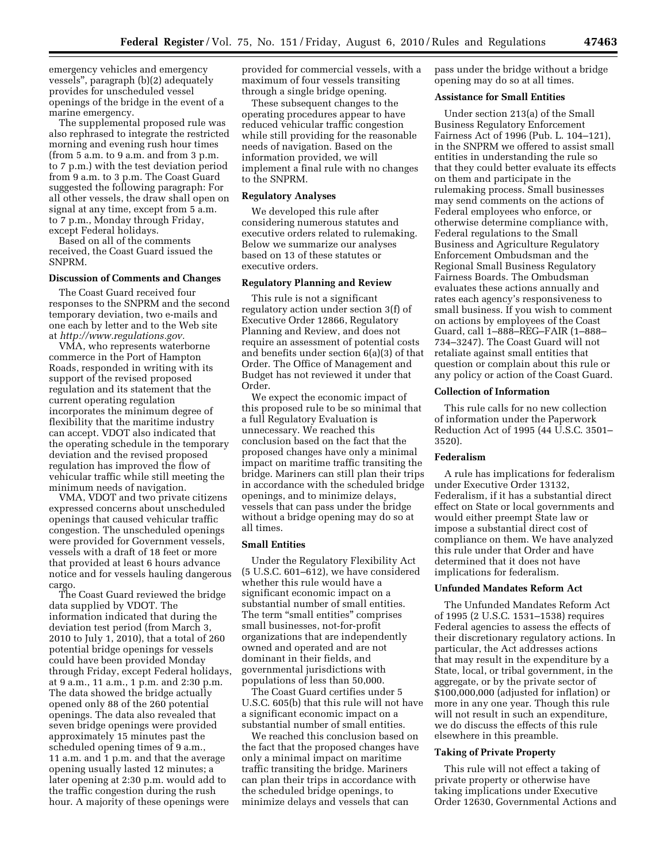emergency vehicles and emergency vessels'', paragraph (b)(2) adequately provides for unscheduled vessel openings of the bridge in the event of a marine emergency.

The supplemental proposed rule was also rephrased to integrate the restricted morning and evening rush hour times (from 5 a.m. to 9 a.m. and from 3 p.m. to 7 p.m.) with the test deviation period from 9 a.m. to 3 p.m. The Coast Guard suggested the following paragraph: For all other vessels, the draw shall open on signal at any time, except from 5 a.m. to 7 p.m., Monday through Friday, except Federal holidays.

Based on all of the comments received, the Coast Guard issued the SNPRM.

# **Discussion of Comments and Changes**

The Coast Guard received four responses to the SNPRM and the second temporary deviation, two e-mails and one each by letter and to the Web site at *[http://www.regulations.gov.](http://www.regulations.gov)* 

VMA, who represents waterborne commerce in the Port of Hampton Roads, responded in writing with its support of the revised proposed regulation and its statement that the current operating regulation incorporates the minimum degree of flexibility that the maritime industry can accept. VDOT also indicated that the operating schedule in the temporary deviation and the revised proposed regulation has improved the flow of vehicular traffic while still meeting the minimum needs of navigation.

VMA, VDOT and two private citizens expressed concerns about unscheduled openings that caused vehicular traffic congestion. The unscheduled openings were provided for Government vessels, vessels with a draft of 18 feet or more that provided at least 6 hours advance notice and for vessels hauling dangerous cargo.

The Coast Guard reviewed the bridge data supplied by VDOT. The information indicated that during the deviation test period (from March 3, 2010 to July 1, 2010), that a total of 260 potential bridge openings for vessels could have been provided Monday through Friday, except Federal holidays, at 9 a.m., 11 a.m., 1 p.m. and 2:30 p.m. The data showed the bridge actually opened only 88 of the 260 potential openings. The data also revealed that seven bridge openings were provided approximately 15 minutes past the scheduled opening times of 9 a.m., 11 a.m. and 1 p.m. and that the average opening usually lasted 12 minutes; a later opening at 2:30 p.m. would add to the traffic congestion during the rush hour. A majority of these openings were

provided for commercial vessels, with a maximum of four vessels transiting through a single bridge opening.

These subsequent changes to the operating procedures appear to have reduced vehicular traffic congestion while still providing for the reasonable needs of navigation. Based on the information provided, we will implement a final rule with no changes to the SNPRM.

# **Regulatory Analyses**

We developed this rule after considering numerous statutes and executive orders related to rulemaking. Below we summarize our analyses based on 13 of these statutes or executive orders.

### **Regulatory Planning and Review**

This rule is not a significant regulatory action under section 3(f) of Executive Order 12866, Regulatory Planning and Review, and does not require an assessment of potential costs and benefits under section 6(a)(3) of that Order. The Office of Management and Budget has not reviewed it under that Order.

We expect the economic impact of this proposed rule to be so minimal that a full Regulatory Evaluation is unnecessary. We reached this conclusion based on the fact that the proposed changes have only a minimal impact on maritime traffic transiting the bridge. Mariners can still plan their trips in accordance with the scheduled bridge openings, and to minimize delays, vessels that can pass under the bridge without a bridge opening may do so at all times.

# **Small Entities**

Under the Regulatory Flexibility Act (5 U.S.C. 601–612), we have considered whether this rule would have a significant economic impact on a substantial number of small entities. The term "small entities" comprises small businesses, not-for-profit organizations that are independently owned and operated and are not dominant in their fields, and governmental jurisdictions with populations of less than 50,000.

The Coast Guard certifies under 5 U.S.C. 605(b) that this rule will not have a significant economic impact on a substantial number of small entities.

We reached this conclusion based on the fact that the proposed changes have only a minimal impact on maritime traffic transiting the bridge. Mariners can plan their trips in accordance with the scheduled bridge openings, to minimize delays and vessels that can

pass under the bridge without a bridge opening may do so at all times.

### **Assistance for Small Entities**

Under section 213(a) of the Small Business Regulatory Enforcement Fairness Act of 1996 (Pub. L. 104–121), in the SNPRM we offered to assist small entities in understanding the rule so that they could better evaluate its effects on them and participate in the rulemaking process. Small businesses may send comments on the actions of Federal employees who enforce, or otherwise determine compliance with, Federal regulations to the Small Business and Agriculture Regulatory Enforcement Ombudsman and the Regional Small Business Regulatory Fairness Boards. The Ombudsman evaluates these actions annually and rates each agency's responsiveness to small business. If you wish to comment on actions by employees of the Coast Guard, call 1–888–REG–FAIR (1–888– 734–3247). The Coast Guard will not retaliate against small entities that question or complain about this rule or any policy or action of the Coast Guard.

## **Collection of Information**

This rule calls for no new collection of information under the Paperwork Reduction Act of 1995 (44 U.S.C. 3501– 3520).

### **Federalism**

A rule has implications for federalism under Executive Order 13132, Federalism, if it has a substantial direct effect on State or local governments and would either preempt State law or impose a substantial direct cost of compliance on them. We have analyzed this rule under that Order and have determined that it does not have implications for federalism.

#### **Unfunded Mandates Reform Act**

The Unfunded Mandates Reform Act of 1995 (2 U.S.C. 1531–1538) requires Federal agencies to assess the effects of their discretionary regulatory actions. In particular, the Act addresses actions that may result in the expenditure by a State, local, or tribal government, in the aggregate, or by the private sector of \$100,000,000 (adjusted for inflation) or more in any one year. Though this rule will not result in such an expenditure, we do discuss the effects of this rule elsewhere in this preamble.

### **Taking of Private Property**

This rule will not effect a taking of private property or otherwise have taking implications under Executive Order 12630, Governmental Actions and